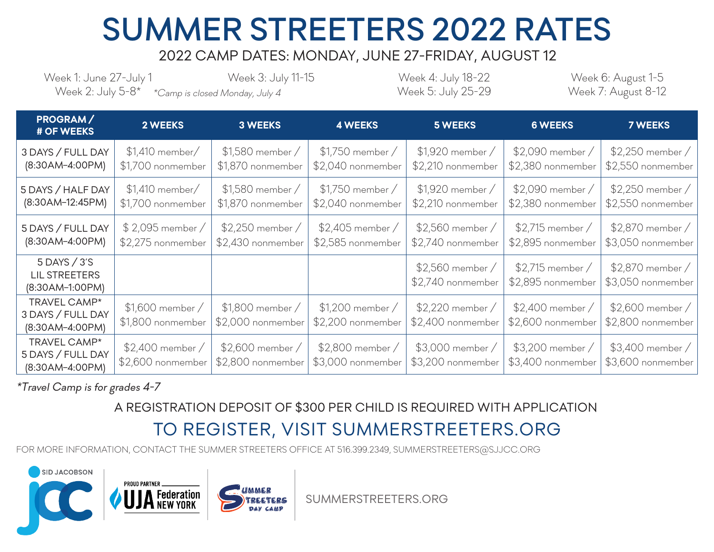## SUMMER STREETERS 2022 RATES

## 2022 CAMP DATES: MONDAY, JUNE 27-FRIDAY, AUGUST 12

Week 1: June 27-July 1 Week 2: July 5-8\* \*Camp is closed Monday, July 4 Week 7: August 8-12

Week 3: July 11-15 Week 4: July 18-22 Week 5: July 25-29 Week 6: August 1-5

| PROGRAM/<br># OF WEEKS                                      | <b>2 WEEKS</b>                        | <b>3 WEEKS</b>                           | <b>4 WEEKS</b>                         | <b>5 WEEKS</b>                         | <b>6 WEEKS</b>                         | <b>7 WEEKS</b>                           |
|-------------------------------------------------------------|---------------------------------------|------------------------------------------|----------------------------------------|----------------------------------------|----------------------------------------|------------------------------------------|
| 3 DAYS / FULL DAY<br>(8:30AM-4:00PM)                        | $$1,410$ member/<br>\$1,700 nonmember | \$1,580 member /<br>\$1,870 nonmember    | \$1,750 member /<br>\$2,040 nonmember  | \$1,920 member /<br>\$2,210 nonmember  | \$2,090 member /<br>\$2,380 nonmember  | \$2,250 member /<br>\$2,550 nonmember    |
| 5 DAYS / HALF DAY<br>(8:30AM-12:45PM)                       | $$1,410$ member/<br>\$1,700 nonmember | $$1,580$ member /<br>\$1,870 nonmember   | $$1,750$ member /<br>\$2,040 nonmember | \$1,920 member /<br>\$2,210 nonmember  | \$2,090 member /<br>\$2,380 nonmember  | $$2,250$ member $/$<br>\$2,550 nonmember |
| 5 DAYS / FULL DAY<br>(8:30AM-4:00PM)                        | \$2,095 member /<br>\$2,275 nonmember | $$2,250$ member /<br>\$2,430 nonmember   | $$2,405$ member /<br>\$2,585 nonmember | $$2,560$ member /<br>\$2,740 nonmember | $$2,715$ member /<br>\$2,895 nonmember | \$2,870 member /<br>\$3,050 nonmember    |
| $5$ DAYS $/3$ 'S<br><b>LIL STREETERS</b><br>(8:30AM-1:00PM) |                                       |                                          |                                        | \$2,560 member /<br>\$2,740 nonmember  | $$2,715$ member /<br>\$2,895 nonmember | \$2,870 member /<br>\$3,050 nonmember    |
| TRAVEL CAMP*<br>3 DAYS / FULL DAY<br>(8:30AM-4:00PM)        | \$1,600 member /<br>\$1,800 nonmember | $$1,800$ member $/$<br>\$2,000 nonmember | $$1,200$ member /<br>\$2,200 nonmember | $$2,220$ member /<br>\$2,400 nonmember | $$2,400$ member /<br>\$2,600 nonmember | $$2,600$ member $/$<br>\$2,800 nonmember |
| TRAVEL CAMP*<br>5 DAYS / FULL DAY<br>(8:30AM-4:00PM)        | \$2,400 member /<br>\$2,600 nonmember | $$2,600$ member /<br>\$2,800 nonmember   | \$2,800 member /<br>\$3,000 nonmember  | $$3,000$ member /<br>\$3,200 nonmember | $$3,200$ member /<br>\$3,400 nonmember | $$3,400$ member $/$<br>\$3,600 nonmember |

\*Travel Camp is for grades 4-7

## A REGISTRATION DEPOSIT OF \$300 PER CHILD IS REQUIRED WITH APPLICATION

## TO REGISTER, VISIT SUMMERSTREETERS.ORG

FOR MORE INFORMATION, CONTACT THE SUMMER STREETERS OFFICE AT 516.399.2349, SUMMERSTREETERS@SJJCC.ORG